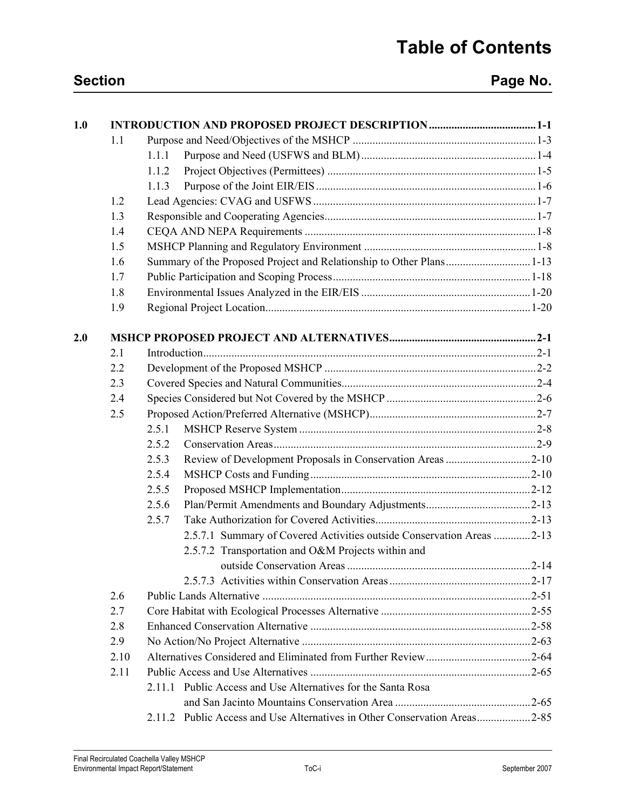| 1.0 |      |                                                                           |  |  |
|-----|------|---------------------------------------------------------------------------|--|--|
|     | 1.1  |                                                                           |  |  |
|     |      | 1.1.1                                                                     |  |  |
|     |      | 1.1.2                                                                     |  |  |
|     |      | 1.1.3                                                                     |  |  |
|     | 1.2  |                                                                           |  |  |
|     | 1.3  |                                                                           |  |  |
|     | 1.4  |                                                                           |  |  |
|     | 1.5  |                                                                           |  |  |
|     | 1.6  |                                                                           |  |  |
|     | 1.7  |                                                                           |  |  |
|     | 1.8  |                                                                           |  |  |
|     | 1.9  |                                                                           |  |  |
| 2.0 |      |                                                                           |  |  |
|     | 2.1  |                                                                           |  |  |
|     | 2.2  |                                                                           |  |  |
|     | 2.3  |                                                                           |  |  |
|     | 2.4  |                                                                           |  |  |
|     | 2.5  |                                                                           |  |  |
|     |      | 2.5.1                                                                     |  |  |
|     |      | 2.5.2                                                                     |  |  |
|     |      | Review of Development Proposals in Conservation Areas 2-10<br>2.5.3       |  |  |
|     |      | 2.5.4                                                                     |  |  |
|     |      | 2.5.5                                                                     |  |  |
|     |      | 2.5.6                                                                     |  |  |
|     |      | 2.5.7                                                                     |  |  |
|     |      | 2.5.7.1 Summary of Covered Activities outside Conservation Areas 2-13     |  |  |
|     |      | 2.5.7.2 Transportation and O&M Projects within and                        |  |  |
|     |      |                                                                           |  |  |
|     |      |                                                                           |  |  |
|     | 2.6  |                                                                           |  |  |
|     | 2.7  |                                                                           |  |  |
|     | 2.8  |                                                                           |  |  |
|     | 2.9  |                                                                           |  |  |
|     | 2.10 |                                                                           |  |  |
|     | 2.11 |                                                                           |  |  |
|     |      | 2.11.1 Public Access and Use Alternatives for the Santa Rosa              |  |  |
|     |      |                                                                           |  |  |
|     |      | 2.11.2 Public Access and Use Alternatives in Other Conservation Areas2-85 |  |  |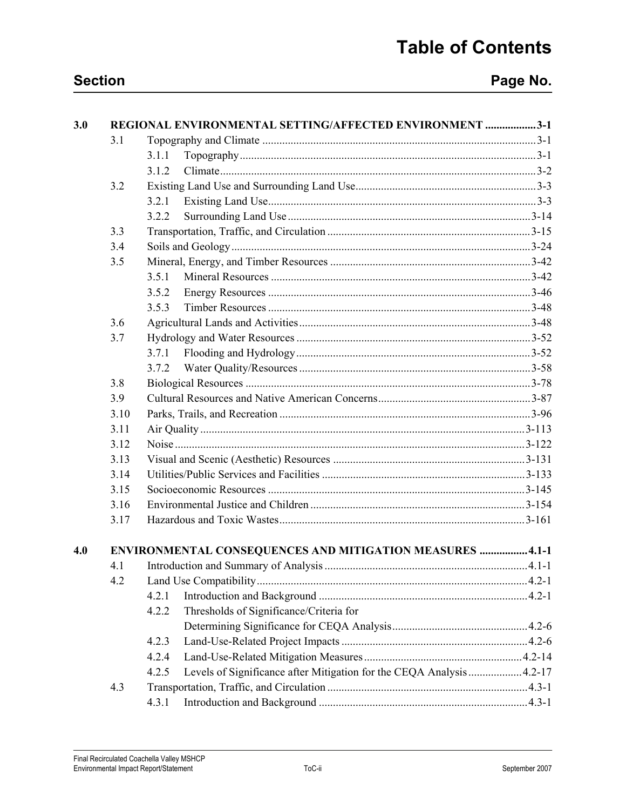| 3.0 |      | REGIONAL ENVIRONMENTAL SETTING/AFFECTED ENVIRONMENT 3-1                        |  |  |
|-----|------|--------------------------------------------------------------------------------|--|--|
|     | 3.1  |                                                                                |  |  |
|     |      | 3.1.1                                                                          |  |  |
|     |      | 3.1.2                                                                          |  |  |
|     | 3.2  |                                                                                |  |  |
|     |      | 3.2.1                                                                          |  |  |
|     |      | 3.2.2                                                                          |  |  |
|     | 3.3  |                                                                                |  |  |
|     | 3.4  |                                                                                |  |  |
|     | 3.5  |                                                                                |  |  |
|     |      | 3.5.1                                                                          |  |  |
|     |      | 3.5.2                                                                          |  |  |
|     |      | 3.5.3                                                                          |  |  |
|     | 3.6  |                                                                                |  |  |
|     | 3.7  |                                                                                |  |  |
|     |      | 3.7.1                                                                          |  |  |
|     |      | 3.7.2                                                                          |  |  |
|     | 3.8  |                                                                                |  |  |
|     | 3.9  |                                                                                |  |  |
|     | 3.10 |                                                                                |  |  |
|     | 3.11 |                                                                                |  |  |
|     | 3.12 |                                                                                |  |  |
|     | 3.13 |                                                                                |  |  |
|     | 3.14 |                                                                                |  |  |
|     | 3.15 |                                                                                |  |  |
|     | 3.16 |                                                                                |  |  |
|     | 3.17 |                                                                                |  |  |
| 4.0 |      | ENVIRONMENTAL CONSEQUENCES AND MITIGATION MEASURES  4.1-1                      |  |  |
|     | 4.1  |                                                                                |  |  |
|     | 4.2  |                                                                                |  |  |
|     |      | 4.2.1                                                                          |  |  |
|     |      | Thresholds of Significance/Criteria for<br>4.2.2                               |  |  |
|     |      |                                                                                |  |  |
|     |      | 4.2.3                                                                          |  |  |
|     |      | 4.2.4                                                                          |  |  |
|     |      | Levels of Significance after Mitigation for the CEQA Analysis  4.2-17<br>4.2.5 |  |  |
|     | 4.3  |                                                                                |  |  |
|     |      | 4.3.1                                                                          |  |  |
|     |      |                                                                                |  |  |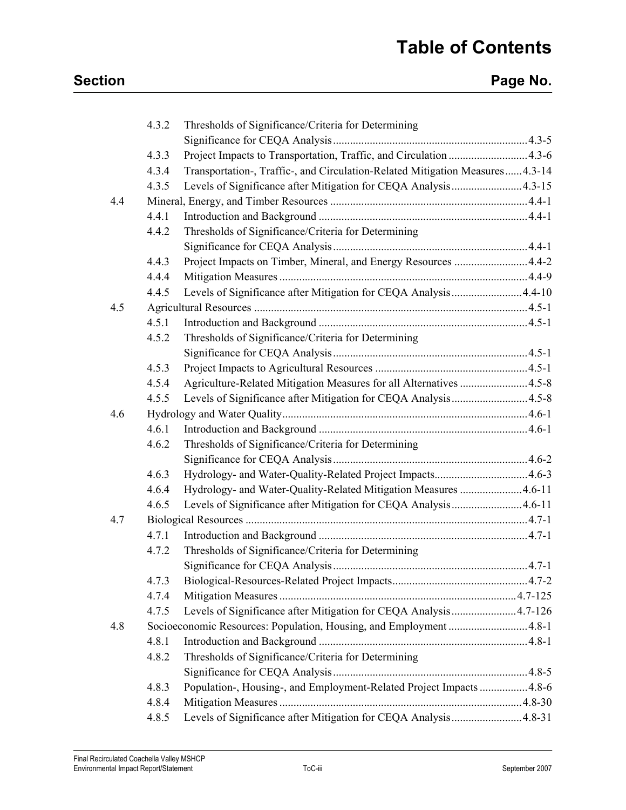|     | 4.3.2 | Thresholds of Significance/Criteria for Determining                           |  |
|-----|-------|-------------------------------------------------------------------------------|--|
|     |       |                                                                               |  |
|     | 4.3.3 | Project Impacts to Transportation, Traffic, and Circulation  4.3-6            |  |
|     | 4.3.4 | Transportation-, Traffic-, and Circulation-Related Mitigation Measures 4.3-14 |  |
|     | 4.3.5 | Levels of Significance after Mitigation for CEQA Analysis4.3-15               |  |
| 4.4 |       |                                                                               |  |
|     | 4.4.1 |                                                                               |  |
|     | 4.4.2 | Thresholds of Significance/Criteria for Determining                           |  |
|     |       |                                                                               |  |
|     | 4.4.3 |                                                                               |  |
|     | 4.4.4 |                                                                               |  |
|     | 4.4.5 | Levels of Significance after Mitigation for CEQA Analysis 4.4-10              |  |
| 4.5 |       |                                                                               |  |
|     | 4.5.1 |                                                                               |  |
|     | 4.5.2 | Thresholds of Significance/Criteria for Determining                           |  |
|     |       |                                                                               |  |
|     | 4.5.3 |                                                                               |  |
|     | 4.5.4 | Agriculture-Related Mitigation Measures for all Alternatives 4.5-8            |  |
|     | 4.5.5 | Levels of Significance after Mitigation for CEQA Analysis4.5-8                |  |
| 4.6 |       |                                                                               |  |
|     | 4.6.1 |                                                                               |  |
|     | 4.6.2 | Thresholds of Significance/Criteria for Determining                           |  |
|     |       |                                                                               |  |
|     | 4.6.3 |                                                                               |  |
|     | 4.6.4 | Hydrology- and Water-Quality-Related Mitigation Measures 4.6-11               |  |
|     | 4.6.5 | Levels of Significance after Mitigation for CEQA Analysis4.6-11               |  |
| 4.7 |       |                                                                               |  |
|     | 4.7.1 |                                                                               |  |
|     | 4.7.2 | Thresholds of Significance/Criteria for Determining                           |  |
|     |       |                                                                               |  |
|     | 4.7.3 |                                                                               |  |
|     | 4.7.4 |                                                                               |  |
|     | 4.7.5 | Levels of Significance after Mitigation for CEQA Analysis 4.7-126             |  |
| 4.8 |       | Socioeconomic Resources: Population, Housing, and Employment 4.8-1            |  |
|     | 4.8.1 |                                                                               |  |
|     | 4.8.2 | Thresholds of Significance/Criteria for Determining                           |  |
|     |       |                                                                               |  |
|     | 4.8.3 | Population-, Housing-, and Employment-Related Project Impacts  4.8-6          |  |
|     | 4.8.4 |                                                                               |  |
|     | 4.8.5 | Levels of Significance after Mitigation for CEQA Analysis4.8-31               |  |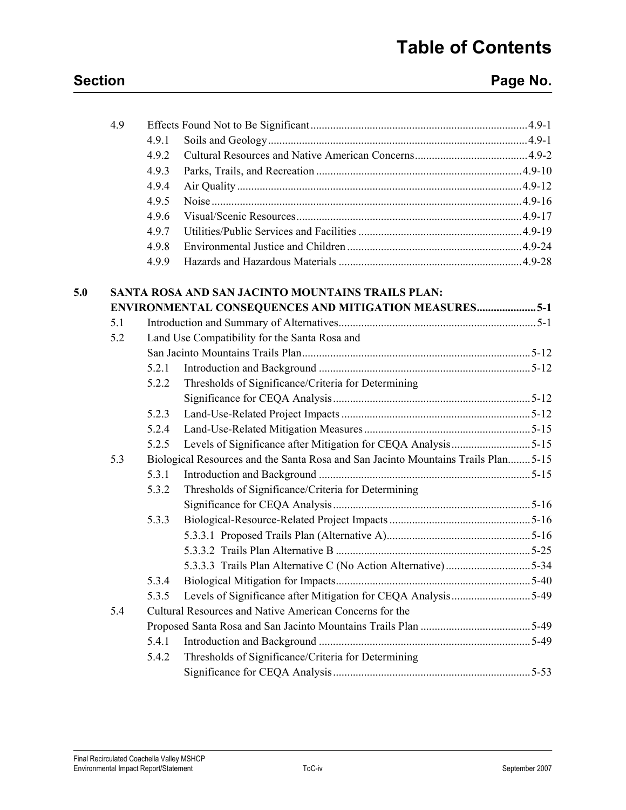## **Section Page No. Page No.**

|     | 4.9.1 |                                                     |                                                                                                                                                                                                                                                                                                                                                                                     |
|-----|-------|-----------------------------------------------------|-------------------------------------------------------------------------------------------------------------------------------------------------------------------------------------------------------------------------------------------------------------------------------------------------------------------------------------------------------------------------------------|
|     | 4.9.2 |                                                     |                                                                                                                                                                                                                                                                                                                                                                                     |
|     | 4.9.3 |                                                     |                                                                                                                                                                                                                                                                                                                                                                                     |
|     | 4.9.4 |                                                     |                                                                                                                                                                                                                                                                                                                                                                                     |
|     | 4.9.5 |                                                     |                                                                                                                                                                                                                                                                                                                                                                                     |
|     | 4.9.6 |                                                     |                                                                                                                                                                                                                                                                                                                                                                                     |
|     | 4.9.7 |                                                     |                                                                                                                                                                                                                                                                                                                                                                                     |
|     | 4.9.8 |                                                     |                                                                                                                                                                                                                                                                                                                                                                                     |
|     | 4.9.9 |                                                     |                                                                                                                                                                                                                                                                                                                                                                                     |
|     |       |                                                     |                                                                                                                                                                                                                                                                                                                                                                                     |
|     |       |                                                     |                                                                                                                                                                                                                                                                                                                                                                                     |
| 5.1 |       |                                                     |                                                                                                                                                                                                                                                                                                                                                                                     |
| 5.2 |       |                                                     |                                                                                                                                                                                                                                                                                                                                                                                     |
|     |       |                                                     |                                                                                                                                                                                                                                                                                                                                                                                     |
|     | 5.2.1 |                                                     |                                                                                                                                                                                                                                                                                                                                                                                     |
|     | 5.2.2 | Thresholds of Significance/Criteria for Determining |                                                                                                                                                                                                                                                                                                                                                                                     |
|     |       |                                                     |                                                                                                                                                                                                                                                                                                                                                                                     |
|     | 5.2.3 |                                                     |                                                                                                                                                                                                                                                                                                                                                                                     |
|     | 5.2.4 |                                                     |                                                                                                                                                                                                                                                                                                                                                                                     |
|     | 5.2.5 |                                                     |                                                                                                                                                                                                                                                                                                                                                                                     |
| 5.3 |       |                                                     |                                                                                                                                                                                                                                                                                                                                                                                     |
|     | 5.3.1 |                                                     |                                                                                                                                                                                                                                                                                                                                                                                     |
|     | 5.3.2 | Thresholds of Significance/Criteria for Determining |                                                                                                                                                                                                                                                                                                                                                                                     |
|     |       |                                                     |                                                                                                                                                                                                                                                                                                                                                                                     |
|     | 5.3.3 |                                                     |                                                                                                                                                                                                                                                                                                                                                                                     |
|     |       |                                                     |                                                                                                                                                                                                                                                                                                                                                                                     |
|     |       |                                                     |                                                                                                                                                                                                                                                                                                                                                                                     |
|     |       |                                                     |                                                                                                                                                                                                                                                                                                                                                                                     |
|     | 5.3.4 |                                                     |                                                                                                                                                                                                                                                                                                                                                                                     |
|     | 5.3.5 |                                                     |                                                                                                                                                                                                                                                                                                                                                                                     |
| 5.4 |       |                                                     |                                                                                                                                                                                                                                                                                                                                                                                     |
|     |       |                                                     |                                                                                                                                                                                                                                                                                                                                                                                     |
|     | 5.4.1 |                                                     |                                                                                                                                                                                                                                                                                                                                                                                     |
|     | 5.4.2 | Thresholds of Significance/Criteria for Determining |                                                                                                                                                                                                                                                                                                                                                                                     |
|     |       |                                                     |                                                                                                                                                                                                                                                                                                                                                                                     |
|     |       |                                                     | SANTA ROSA AND SAN JACINTO MOUNTAINS TRAILS PLAN:<br><b>ENVIRONMENTAL CONSEQUENCES AND MITIGATION MEASURES5-1</b><br>Land Use Compatibility for the Santa Rosa and<br>Biological Resources and the Santa Rosa and San Jacinto Mountains Trails Plan5-15<br>Levels of Significance after Mitigation for CEQA Analysis5-49<br>Cultural Resources and Native American Concerns for the |

4.9 Effects Found Not to Be Significant.............................................................................4.9-1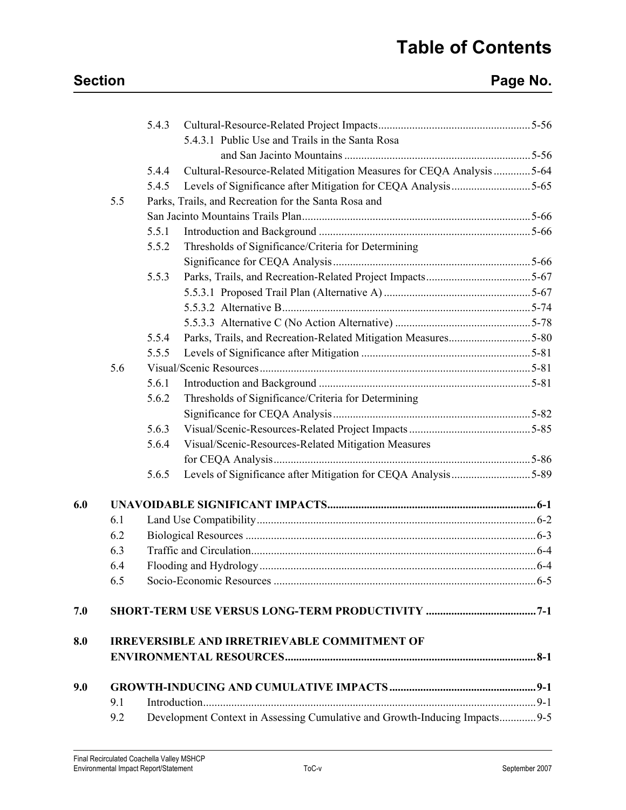## **Section Page No. Page No.**

|     |     | 5.4.3 |                                                                            |  |
|-----|-----|-------|----------------------------------------------------------------------------|--|
|     |     |       | 5.4.3.1 Public Use and Trails in the Santa Rosa                            |  |
|     |     |       |                                                                            |  |
|     |     | 5.4.4 | Cultural-Resource-Related Mitigation Measures for CEQA Analysis 5-64       |  |
|     |     | 5.4.5 | Levels of Significance after Mitigation for CEQA Analysis5-65              |  |
|     | 5.5 |       | Parks, Trails, and Recreation for the Santa Rosa and                       |  |
|     |     |       |                                                                            |  |
|     |     | 5.5.1 |                                                                            |  |
|     |     | 5.5.2 | Thresholds of Significance/Criteria for Determining                        |  |
|     |     |       |                                                                            |  |
|     |     | 5.5.3 |                                                                            |  |
|     |     |       |                                                                            |  |
|     |     |       |                                                                            |  |
|     |     |       |                                                                            |  |
|     |     | 5.5.4 |                                                                            |  |
|     |     | 5.5.5 |                                                                            |  |
|     | 5.6 |       |                                                                            |  |
|     |     | 5.6.1 |                                                                            |  |
|     |     | 5.6.2 | Thresholds of Significance/Criteria for Determining                        |  |
|     |     |       |                                                                            |  |
|     |     | 5.6.3 |                                                                            |  |
|     |     | 5.6.4 | Visual/Scenic-Resources-Related Mitigation Measures                        |  |
|     |     |       |                                                                            |  |
|     |     | 5.6.5 | Levels of Significance after Mitigation for CEQA Analysis5-89              |  |
| 6.0 |     |       |                                                                            |  |
|     | 6.1 |       |                                                                            |  |
|     | 6.2 |       |                                                                            |  |
|     | 6.3 |       |                                                                            |  |
|     | 6.4 |       |                                                                            |  |
|     | 6.5 |       |                                                                            |  |
| 7.0 |     |       |                                                                            |  |
| 8.0 |     |       | <b>IRREVERSIBLE AND IRRETRIEVABLE COMMITMENT OF</b>                        |  |
|     |     |       |                                                                            |  |
| 9.0 |     |       |                                                                            |  |
|     | 9.1 |       |                                                                            |  |
|     | 9.2 |       | Development Context in Assessing Cumulative and Growth-Inducing Impacts9-5 |  |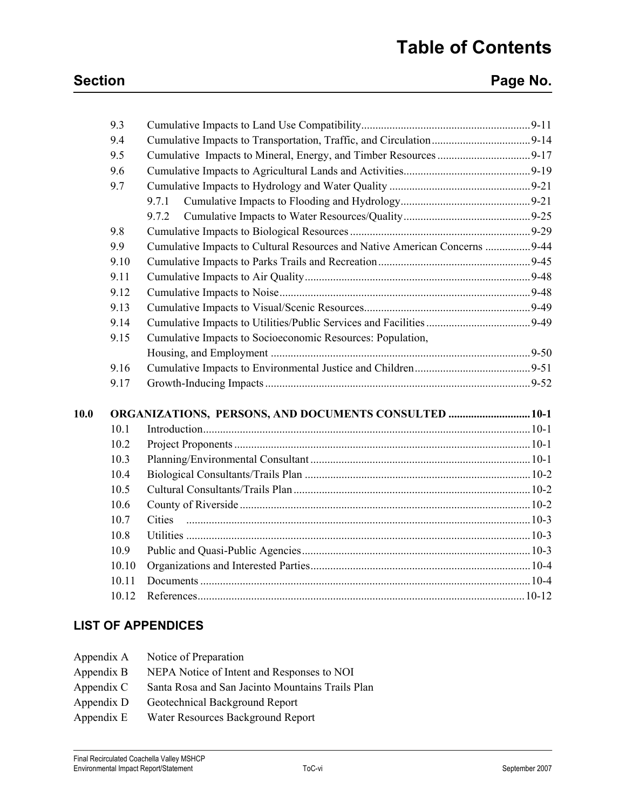## **Section Page No. Page No.**

|      | 9.3   |                                                                             |  |
|------|-------|-----------------------------------------------------------------------------|--|
|      | 9.4   |                                                                             |  |
|      | 9.5   |                                                                             |  |
|      | 9.6   |                                                                             |  |
|      | 9.7   |                                                                             |  |
|      |       | 9.7.1                                                                       |  |
|      |       | 9.7.2                                                                       |  |
|      | 9.8   |                                                                             |  |
|      | 9.9   | Cumulative Impacts to Cultural Resources and Native American Concerns  9-44 |  |
|      | 9.10  |                                                                             |  |
|      | 9.11  |                                                                             |  |
|      | 9.12  |                                                                             |  |
|      | 9.13  |                                                                             |  |
|      | 9.14  |                                                                             |  |
|      | 9.15  | Cumulative Impacts to Socioeconomic Resources: Population,                  |  |
|      |       |                                                                             |  |
|      | 9.16  |                                                                             |  |
|      | 9.17  |                                                                             |  |
| 10.0 |       | <b>ORGANIZATIONS, PERSONS, AND DOCUMENTS CONSULTED  10-1</b>                |  |
|      | 10.1  |                                                                             |  |
|      | 10.2  |                                                                             |  |
|      | 10.3  |                                                                             |  |
|      | 10.4  |                                                                             |  |
|      | 10.5  |                                                                             |  |
|      | 10.6  |                                                                             |  |
|      | 10.7  |                                                                             |  |
|      | 10.8  |                                                                             |  |
|      | 10.9  |                                                                             |  |
|      | 10.10 |                                                                             |  |
|      | 10.11 |                                                                             |  |
|      |       |                                                                             |  |
|      | 10.12 |                                                                             |  |

### **LIST OF APPENDICES**

| Appendix A | Notice of Preparation                            |
|------------|--------------------------------------------------|
| Appendix B | NEPA Notice of Intent and Responses to NOI       |
| Appendix C | Santa Rosa and San Jacinto Mountains Trails Plan |
| Appendix D | Geotechnical Background Report                   |
| Appendix E | Water Resources Background Report                |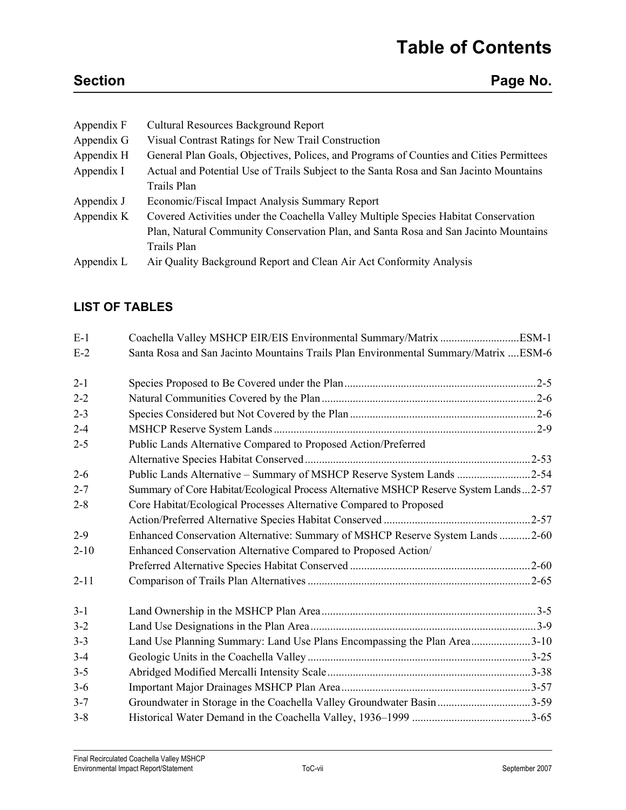| Appendix F | <b>Cultural Resources Background Report</b>                                             |
|------------|-----------------------------------------------------------------------------------------|
| Appendix G | Visual Contrast Ratings for New Trail Construction                                      |
| Appendix H | General Plan Goals, Objectives, Polices, and Programs of Counties and Cities Permittees |
| Appendix I | Actual and Potential Use of Trails Subject to the Santa Rosa and San Jacinto Mountains  |
|            | Trails Plan                                                                             |
| Appendix J | Economic/Fiscal Impact Analysis Summary Report                                          |
| Appendix K | Covered Activities under the Coachella Valley Multiple Species Habitat Conservation     |
|            | Plan, Natural Community Conservation Plan, and Santa Rosa and San Jacinto Mountains     |
|            | Trails Plan                                                                             |
| Appendix L | Air Quality Background Report and Clean Air Act Conformity Analysis                     |
|            |                                                                                         |

### **LIST OF TABLES**

| $E-1$    |                                                                                       |  |
|----------|---------------------------------------------------------------------------------------|--|
| $E-2$    | Santa Rosa and San Jacinto Mountains Trails Plan Environmental Summary/Matrix  ESM-6  |  |
| $2 - 1$  |                                                                                       |  |
| $2 - 2$  |                                                                                       |  |
| $2 - 3$  |                                                                                       |  |
| $2 - 4$  |                                                                                       |  |
| $2 - 5$  | Public Lands Alternative Compared to Proposed Action/Preferred                        |  |
|          |                                                                                       |  |
| $2 - 6$  | Public Lands Alternative - Summary of MSHCP Reserve System Lands 2-54                 |  |
| $2 - 7$  | Summary of Core Habitat/Ecological Process Alternative MSHCP Reserve System Lands2-57 |  |
| $2 - 8$  | Core Habitat/Ecological Processes Alternative Compared to Proposed                    |  |
|          |                                                                                       |  |
| $2 - 9$  | Enhanced Conservation Alternative: Summary of MSHCP Reserve System Lands 2-60         |  |
| $2 - 10$ | Enhanced Conservation Alternative Compared to Proposed Action/                        |  |
|          |                                                                                       |  |
| $2 - 11$ |                                                                                       |  |
| $3 - 1$  |                                                                                       |  |
| $3 - 2$  |                                                                                       |  |
| $3 - 3$  | Land Use Planning Summary: Land Use Plans Encompassing the Plan Area3-10              |  |
| $3 - 4$  |                                                                                       |  |
| $3 - 5$  |                                                                                       |  |
| $3-6$    |                                                                                       |  |
| $3 - 7$  | Groundwater in Storage in the Coachella Valley Groundwater Basin 3-59                 |  |
| $3 - 8$  |                                                                                       |  |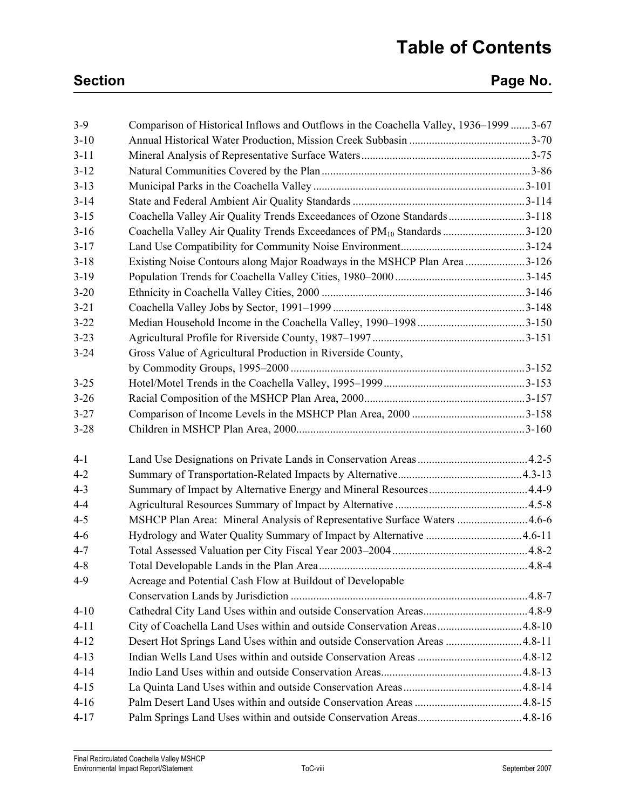## **Section Page No. Page No.**

| $3-9$    | Comparison of Historical Inflows and Outflows in the Coachella Valley, 1936–1999 3-67 |  |
|----------|---------------------------------------------------------------------------------------|--|
| $3 - 10$ |                                                                                       |  |
| $3 - 11$ |                                                                                       |  |
| $3 - 12$ |                                                                                       |  |
| $3 - 13$ |                                                                                       |  |
| $3 - 14$ |                                                                                       |  |
| $3 - 15$ | Coachella Valley Air Quality Trends Exceedances of Ozone Standards3-118               |  |
| $3 - 16$ | Coachella Valley Air Quality Trends Exceedances of PM <sub>10</sub> Standards 3-120   |  |
| $3 - 17$ |                                                                                       |  |
| $3 - 18$ | Existing Noise Contours along Major Roadways in the MSHCP Plan Area 3-126             |  |
| $3-19$   |                                                                                       |  |
| $3 - 20$ |                                                                                       |  |
| $3 - 21$ |                                                                                       |  |
| $3 - 22$ |                                                                                       |  |
| $3 - 23$ |                                                                                       |  |
| $3 - 24$ | Gross Value of Agricultural Production in Riverside County,                           |  |
|          |                                                                                       |  |
| $3 - 25$ |                                                                                       |  |
| $3 - 26$ |                                                                                       |  |
| $3 - 27$ |                                                                                       |  |
| $3 - 28$ |                                                                                       |  |
| $4 - 1$  |                                                                                       |  |
| $4 - 2$  |                                                                                       |  |
| $4 - 3$  |                                                                                       |  |
| $4 - 4$  |                                                                                       |  |
| $4 - 5$  | MSHCP Plan Area: Mineral Analysis of Representative Surface Waters  4.6-6             |  |
| $4 - 6$  | Hydrology and Water Quality Summary of Impact by Alternative 4.6-11                   |  |
| $4 - 7$  |                                                                                       |  |
| $4 - 8$  |                                                                                       |  |
| $4-9$    | Acreage and Potential Cash Flow at Buildout of Developable                            |  |
|          |                                                                                       |  |
| $4 - 10$ |                                                                                       |  |
| $4 - 11$ | City of Coachella Land Uses within and outside Conservation Areas4.8-10               |  |
| $4 - 12$ | Desert Hot Springs Land Uses within and outside Conservation Areas 4.8-11             |  |
| $4 - 13$ |                                                                                       |  |
| $4 - 14$ |                                                                                       |  |
| $4 - 15$ |                                                                                       |  |
| $4 - 16$ |                                                                                       |  |
| $4 - 17$ |                                                                                       |  |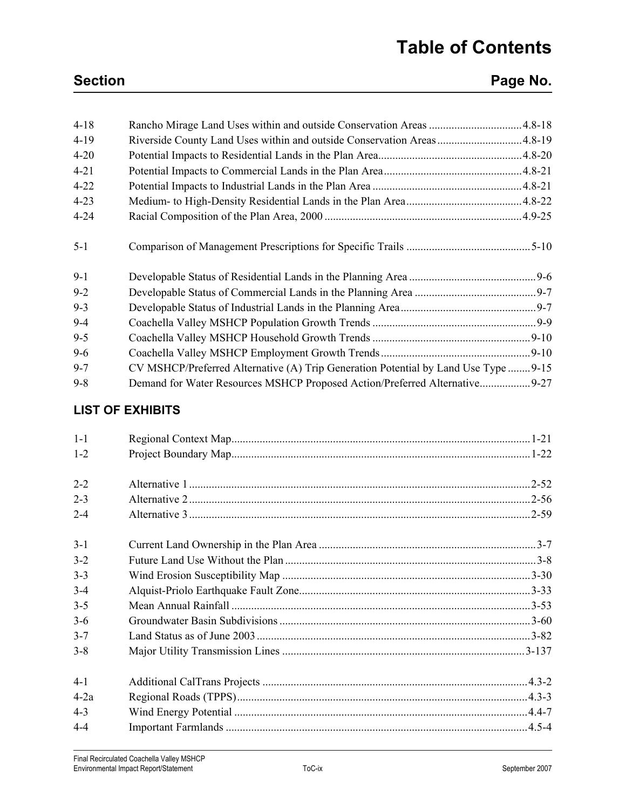## **Section Page No. Page No.**

| $4 - 18$ | Rancho Mirage Land Uses within and outside Conservation Areas 4.8-18               |           |
|----------|------------------------------------------------------------------------------------|-----------|
| $4 - 19$ | Riverside County Land Uses within and outside Conservation Areas4.8-19             |           |
| $4 - 20$ |                                                                                    |           |
| $4 - 21$ |                                                                                    |           |
| $4 - 22$ |                                                                                    |           |
| $4 - 23$ |                                                                                    |           |
| $4 - 24$ |                                                                                    |           |
| $5 - 1$  |                                                                                    |           |
| $9 - 1$  |                                                                                    |           |
| $9 - 2$  |                                                                                    |           |
| $9 - 3$  |                                                                                    |           |
| $9 - 4$  |                                                                                    |           |
| $9 - 5$  |                                                                                    | $.9 - 10$ |
| $9 - 6$  |                                                                                    |           |
| $9 - 7$  | CV MSHCP/Preferred Alternative (A) Trip Generation Potential by Land Use Type 9-15 |           |
| $9 - 8$  | Demand for Water Resources MSHCP Proposed Action/Preferred Alternative9-27         |           |

### **LIST OF EXHIBITS**

| $1 - 1$ |  |
|---------|--|
| $1 - 2$ |  |
|         |  |
| $2 - 2$ |  |
| $2 - 3$ |  |
| $2 - 4$ |  |
| $3-1$   |  |
| $3 - 2$ |  |
| $3 - 3$ |  |
| $3 - 4$ |  |
| $3 - 5$ |  |
| $3-6$   |  |
| $3 - 7$ |  |
| $3 - 8$ |  |
| $4-1$   |  |
| $4-2a$  |  |
| $4 - 3$ |  |
| $4 - 4$ |  |